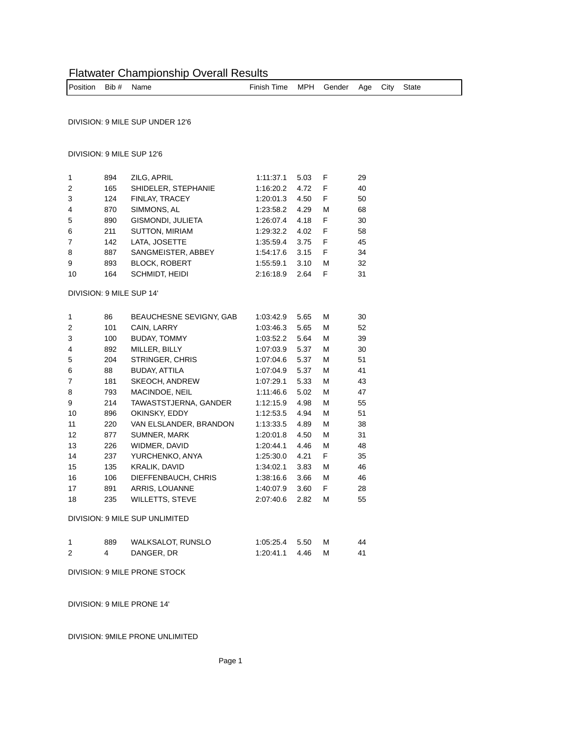# Flatwater Championship Overall Results

| Position Bib# Name |  |  | Finish Time MPH Gender Age City State |  |  |  |  |  |  |
|--------------------|--|--|---------------------------------------|--|--|--|--|--|--|
|--------------------|--|--|---------------------------------------|--|--|--|--|--|--|

DIVISION: 9 MILE SUP UNDER 12'6

### DIVISION: 9 MILE SUP 12'6

| $\mathbf{1}$   | 894 | ZILG, APRIL           | 1.11.37.1 | 5.03 | F | 29 |
|----------------|-----|-----------------------|-----------|------|---|----|
| 2              | 165 | SHIDELER, STEPHANIE   | 1:16:20.2 | 4.72 | F | 40 |
| 3              | 124 | FINLAY, TRACEY        | 1:20:01.3 | 4.50 | F | 50 |
| $\overline{4}$ | 870 | SIMMONS, AL           | 1:23:58.2 | 4.29 | м | 68 |
| 5              | 890 | GISMONDI, JULIETA     | 1:26:07.4 | 4.18 | F | 30 |
| 6              | 211 | <b>SUTTON, MIRIAM</b> | 1:29:32.2 | 4.02 | F | 58 |
| $\overline{7}$ | 142 | LATA, JOSETTE         | 1:35:59.4 | 3.75 | F | 45 |
| 8              | 887 | SANGMEISTER, ABBEY    | 1.54.17.6 | 3.15 | F | 34 |
| 9              | 893 | <b>BLOCK, ROBERT</b>  | 1:55:59.1 | 3.10 | м | 32 |
| 10             | 164 | SCHMIDT, HEIDI        | 2:16:18.9 | 2.64 | F | 31 |
|                |     |                       |           |      |   |    |

#### DIVISION: 9 MILE SUP 14'

| 1  | 86  | <b>BEAUCHESNE SEVIGNY, GAB</b> | 1:03:42.9 | 5.65 | М | 30 |
|----|-----|--------------------------------|-----------|------|---|----|
| 2  | 101 | CAIN, LARRY                    | 1:03:46.3 | 5.65 | М | 52 |
| 3  | 100 | <b>BUDAY, TOMMY</b>            | 1:03:52.2 | 5.64 | М | 39 |
| 4  | 892 | MILLER, BILLY                  | 1:07:03.9 | 5.37 | М | 30 |
| 5  | 204 | STRINGER, CHRIS                | 1:07:04.6 | 5.37 | М | 51 |
| 6  | 88  | BUDAY, ATTILA                  | 1:07:04.9 | 5.37 | М | 41 |
| 7  | 181 | <b>SKEOCH, ANDREW</b>          | 1:07:29.1 | 5.33 | М | 43 |
| 8  | 793 | MACINDOE, NEIL                 | 1.11.46.6 | 5.02 | М | 47 |
| 9  | 214 | TAWASTSTJERNA, GANDER          | 1:12:15.9 | 4.98 | М | 55 |
| 10 | 896 | OKINSKY, EDDY                  | 1:12:53.5 | 4.94 | М | 51 |
| 11 | 220 | VAN ELSLANDER, BRANDON         | 1:13:33.5 | 4.89 | М | 38 |
| 12 | 877 | SUMNER, MARK                   | 1:20:01.8 | 4.50 | М | 31 |
| 13 | 226 | WIDMER, DAVID                  | 1:20:44.1 | 4.46 | М | 48 |
| 14 | 237 | YURCHENKO, ANYA                | 1:25:30.0 | 4.21 | F | 35 |
| 15 | 135 | KRALIK, DAVID                  | 1:34:02.1 | 3.83 | М | 46 |
| 16 | 106 | DIEFFENBAUCH, CHRIS            | 1:38:16.6 | 3.66 | М | 46 |
| 17 | 891 | <b>ARRIS, LOUANNE</b>          | 1:40:07.9 | 3.60 | F | 28 |
| 18 | 235 | WILLETTS, STEVE                | 2:07:40.6 | 2.82 | М | 55 |
|    |     |                                |           |      |   |    |

DIVISION: 9 MILE SUP UNLIMITED

| 889 | WALKSALOT, RUNSLO | 1:05:25.4 5.50 | M | 44 |
|-----|-------------------|----------------|---|----|
|     | DANGER, DR        | 1:20:41.1 4.46 | M | 41 |

DIVISION: 9 MILE PRONE STOCK

DIVISION: 9 MILE PRONE 14'

## DIVISION: 9MILE PRONE UNLIMITED